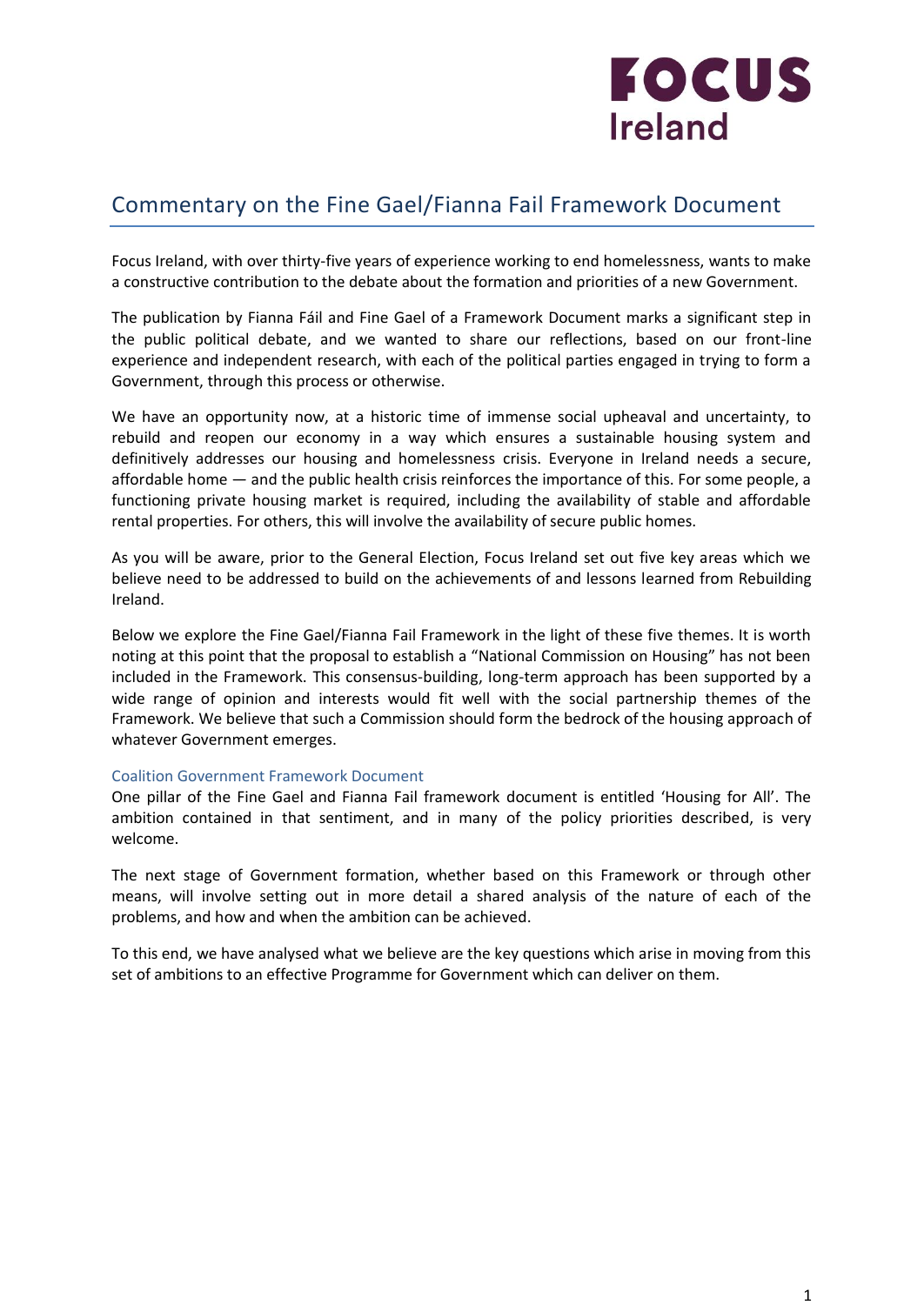

# Commentary on the Fine Gael/Fianna Fail Framework Document

Focus Ireland, with over thirty-five years of experience working to end homelessness, wants to make a constructive contribution to the debate about the formation and priorities of a new Government.

The publication by Fianna Fáil and Fine Gael of a Framework Document marks a significant step in the public political debate, and we wanted to share our reflections, based on our front-line experience and independent research, with each of the political parties engaged in trying to form a Government, through this process or otherwise.

We have an opportunity now, at a historic time of immense social upheaval and uncertainty, to rebuild and reopen our economy in a way which ensures a sustainable housing system and definitively addresses our housing and homelessness crisis. Everyone in Ireland needs a secure, affordable home — and the public health crisis reinforces the importance of this. For some people, a functioning private housing market is required, including the availability of stable and affordable rental properties. For others, this will involve the availability of secure public homes.

As you will be aware, prior to the General Election, Focus Ireland set out five key areas which we believe need to be addressed to build on the achievements of and lessons learned from Rebuilding Ireland.

Below we explore the Fine Gael/Fianna Fail Framework in the light of these five themes. It is worth noting at this point that the proposal to establish a "National Commission on Housing" has not been included in the Framework. This consensus-building, long-term approach has been supported by a wide range of opinion and interests would fit well with the social partnership themes of the Framework. We believe that such a Commission should form the bedrock of the housing approach of whatever Government emerges.

#### Coalition Government Framework Document

One pillar of the Fine Gael and Fianna Fail framework document is entitled 'Housing for All'. The ambition contained in that sentiment, and in many of the policy priorities described, is very welcome.

The next stage of Government formation, whether based on this Framework or through other means, will involve setting out in more detail a shared analysis of the nature of each of the problems, and how and when the ambition can be achieved.

To this end, we have analysed what we believe are the key questions which arise in moving from this set of ambitions to an effective Programme for Government which can deliver on them.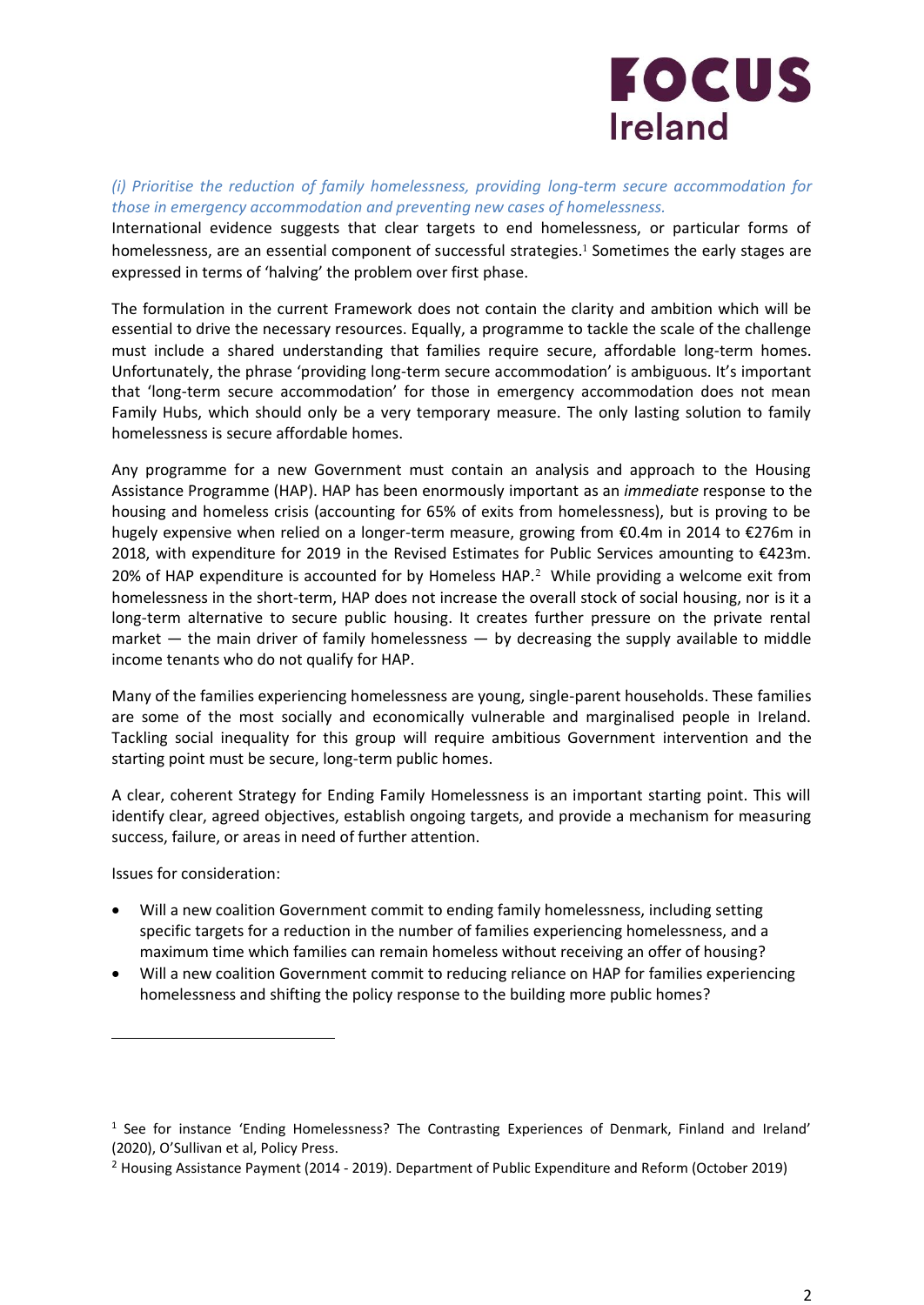# **FOCUS Ireland**

*(i) Prioritise the reduction of family homelessness, providing long-term secure accommodation for those in emergency accommodation and preventing new cases of homelessness.*

International evidence suggests that clear targets to end homelessness, or particular forms of homelessness, are an essential component of successful strategies.<sup>1</sup> Sometimes the early stages are expressed in terms of 'halving' the problem over first phase.

The formulation in the current Framework does not contain the clarity and ambition which will be essential to drive the necessary resources. Equally, a programme to tackle the scale of the challenge must include a shared understanding that families require secure, affordable long-term homes. Unfortunately, the phrase 'providing long-term secure accommodation' is ambiguous. It's important that 'long-term secure accommodation' for those in emergency accommodation does not mean Family Hubs, which should only be a very temporary measure. The only lasting solution to family homelessness is secure affordable homes.

Any programme for a new Government must contain an analysis and approach to the Housing Assistance Programme (HAP). HAP has been enormously important as an *immediate* response to the housing and homeless crisis (accounting for 65% of exits from homelessness), but is proving to be hugely expensive when relied on a longer-term measure, growing from €0.4m in 2014 to €276m in 2018, with expenditure for 2019 in the Revised Estimates for Public Services amounting to €423m. 20% of HAP expenditure is accounted for by Homeless HAP.<sup>2</sup> While providing a welcome exit from homelessness in the short-term, HAP does not increase the overall stock of social housing, nor is it a long-term alternative to secure public housing. It creates further pressure on the private rental market  $-$  the main driver of family homelessness  $-$  by decreasing the supply available to middle income tenants who do not qualify for HAP.

Many of the families experiencing homelessness are young, single-parent households. These families are some of the most socially and economically vulnerable and marginalised people in Ireland. Tackling social inequality for this group will require ambitious Government intervention and the starting point must be secure, long-term public homes.

A clear, coherent Strategy for Ending Family Homelessness is an important starting point. This will identify clear, agreed objectives, establish ongoing targets, and provide a mechanism for measuring success, failure, or areas in need of further attention.

Issues for consideration:

- Will a new coalition Government commit to ending family homelessness, including setting specific targets for a reduction in the number of families experiencing homelessness, and a maximum time which families can remain homeless without receiving an offer of housing?
- Will a new coalition Government commit to reducing reliance on HAP for families experiencing homelessness and shifting the policy response to the building more public homes?

<sup>1</sup> See for instance 'Ending Homelessness? The Contrasting Experiences of Denmark, Finland and Ireland' (2020), O'Sullivan et al, Policy Press.

<sup>2</sup> Housing Assistance Payment (2014 - 2019). Department of Public Expenditure and Reform (October 2019)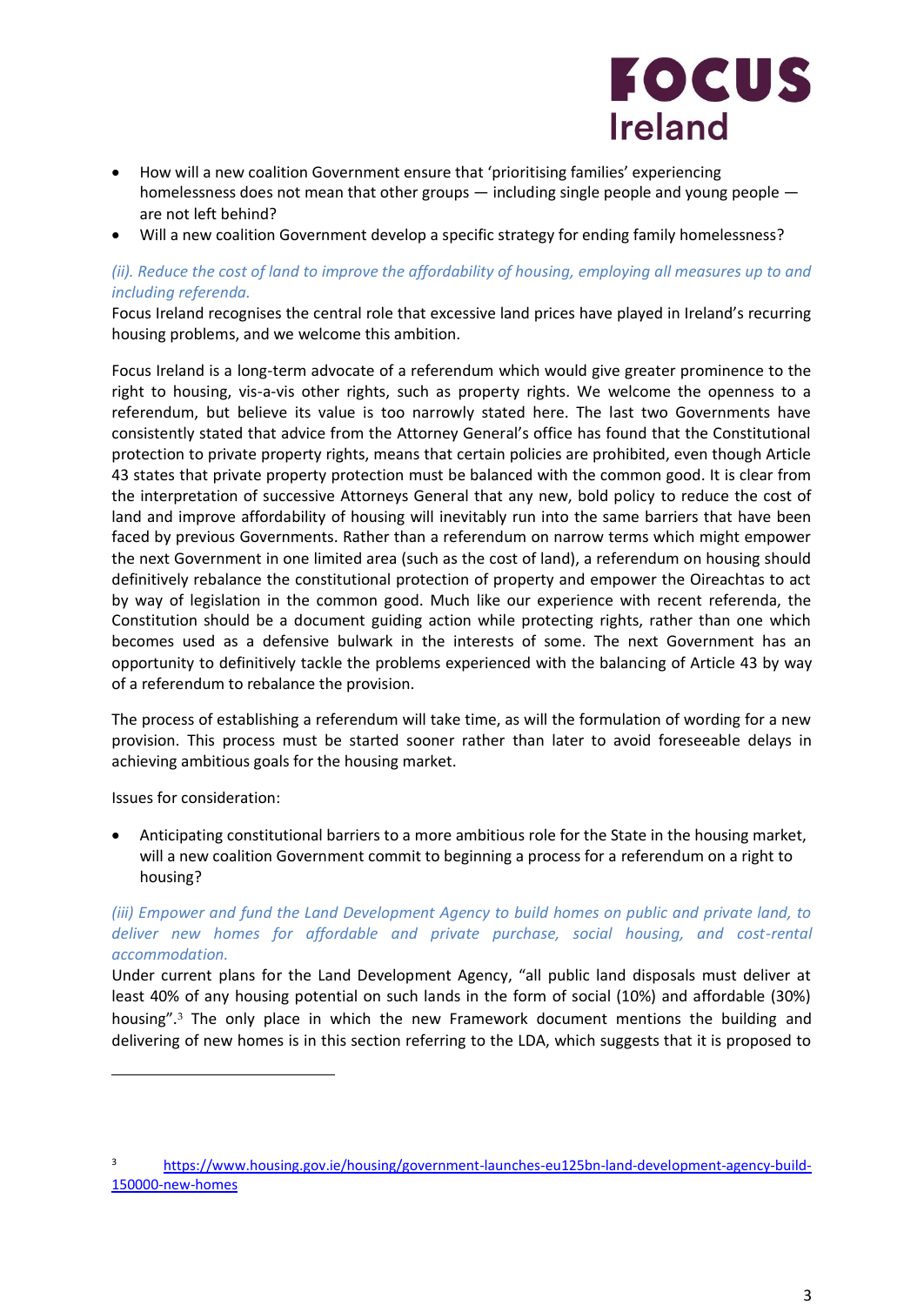

- How will a new coalition Government ensure that 'prioritising families' experiencing homelessness does not mean that other groups — including single people and young people are not left behind?
- Will a new coalition Government develop a specific strategy for ending family homelessness?

# *(ii). Reduce the cost of land to improve the affordability of housing, employing all measures up to and including referenda.*

Focus Ireland recognises the central role that excessive land prices have played in Ireland's recurring housing problems, and we welcome this ambition.

Focus Ireland is a long-term advocate of a referendum which would give greater prominence to the right to housing, vis-a-vis other rights, such as property rights. We welcome the openness to a referendum, but believe its value is too narrowly stated here. The last two Governments have consistently stated that advice from the Attorney General's office has found that the Constitutional protection to private property rights, means that certain policies are prohibited, even though Article 43 states that private property protection must be balanced with the common good. It is clear from the interpretation of successive Attorneys General that any new, bold policy to reduce the cost of land and improve affordability of housing will inevitably run into the same barriers that have been faced by previous Governments. Rather than a referendum on narrow terms which might empower the next Government in one limited area (such as the cost of land), a referendum on housing should definitively rebalance the constitutional protection of property and empower the Oireachtas to act by way of legislation in the common good. Much like our experience with recent referenda, the Constitution should be a document guiding action while protecting rights, rather than one which becomes used as a defensive bulwark in the interests of some. The next Government has an opportunity to definitively tackle the problems experienced with the balancing of Article 43 by way of a referendum to rebalance the provision.

The process of establishing a referendum will take time, as will the formulation of wording for a new provision. This process must be started sooner rather than later to avoid foreseeable delays in achieving ambitious goals for the housing market.

Issues for consideration:

• Anticipating constitutional barriers to a more ambitious role for the State in the housing market, will a new coalition Government commit to beginning a process for a referendum on a right to housing?

# *(iii) Empower and fund the Land Development Agency to build homes on public and private land, to deliver new homes for affordable and private purchase, social housing, and cost-rental accommodation.*

Under current plans for the Land Development Agency, "all public land disposals must deliver at least 40% of any housing potential on such lands in the form of social (10%) and affordable (30%) housing".<sup>3</sup> The only place in which the new Framework document mentions the building and delivering of new homes is in this section referring to the LDA, which suggests that it is proposed to

<sup>3</sup> [https://www.housing.gov.ie/housing/government-launches-eu125bn-land-development-agency-build-](https://www.housing.gov.ie/housing/government-launches-eu125bn-land-development-agency-build-150000-new-homes)[150000-new-homes](https://www.housing.gov.ie/housing/government-launches-eu125bn-land-development-agency-build-150000-new-homes)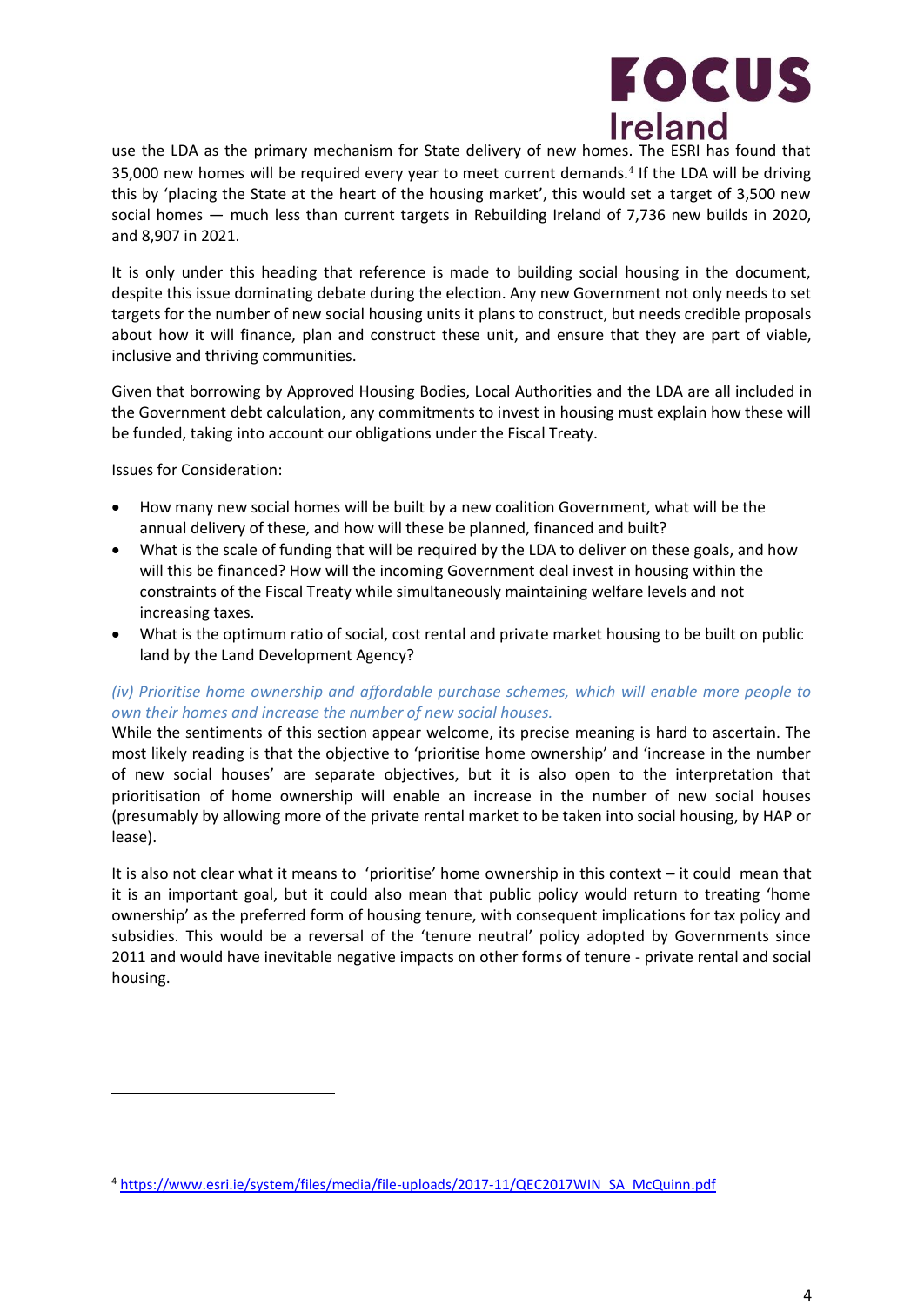

use the LDA as the primary mechanism for State delivery of new homes. The ESRI has found that 35,000 new homes will be required every year to meet current demands.<sup>4</sup> If the LDA will be driving this by 'placing the State at the heart of the housing market', this would set a target of 3,500 new social homes — much less than current targets in Rebuilding Ireland of 7,736 new builds in 2020, and 8,907 in 2021.

It is only under this heading that reference is made to building social housing in the document, despite this issue dominating debate during the election. Any new Government not only needs to set targets for the number of new social housing units it plans to construct, but needs credible proposals about how it will finance, plan and construct these unit, and ensure that they are part of viable, inclusive and thriving communities.

Given that borrowing by Approved Housing Bodies, Local Authorities and the LDA are all included in the Government debt calculation, any commitments to invest in housing must explain how these will be funded, taking into account our obligations under the Fiscal Treaty.

Issues for Consideration:

- How many new social homes will be built by a new coalition Government, what will be the annual delivery of these, and how will these be planned, financed and built?
- What is the scale of funding that will be required by the LDA to deliver on these goals, and how will this be financed? How will the incoming Government deal invest in housing within the constraints of the Fiscal Treaty while simultaneously maintaining welfare levels and not increasing taxes.
- What is the optimum ratio of social, cost rental and private market housing to be built on public land by the Land Development Agency?

## *(iv) Prioritise home ownership and affordable purchase schemes, which will enable more people to own their homes and increase the number of new social houses.*

While the sentiments of this section appear welcome, its precise meaning is hard to ascertain. The most likely reading is that the objective to 'prioritise home ownership' and 'increase in the number of new social houses' are separate objectives, but it is also open to the interpretation that prioritisation of home ownership will enable an increase in the number of new social houses (presumably by allowing more of the private rental market to be taken into social housing, by HAP or lease).

It is also not clear what it means to 'prioritise' home ownership in this context – it could mean that it is an important goal, but it could also mean that public policy would return to treating 'home ownership' as the preferred form of housing tenure, with consequent implications for tax policy and subsidies. This would be a reversal of the 'tenure neutral' policy adopted by Governments since 2011 and would have inevitable negative impacts on other forms of tenure - private rental and social housing.

<sup>4</sup> [https://www.esri.ie/system/files/media/file-uploads/2017-11/QEC2017WIN\\_SA\\_McQuinn.pdf](https://www.esri.ie/system/files/media/file-uploads/2017-11/QEC2017WIN_SA_McQuinn.pdf)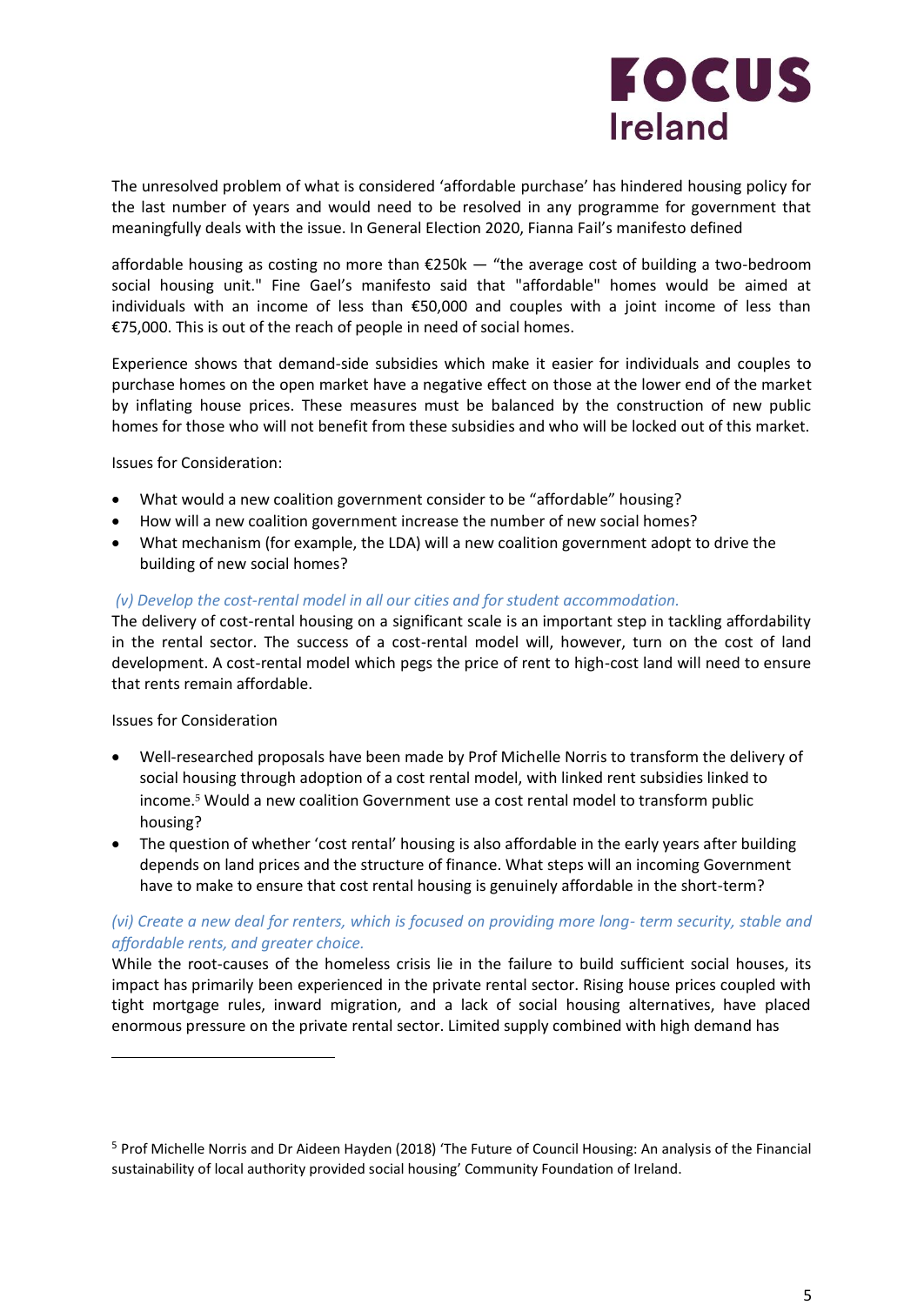

The unresolved problem of what is considered 'affordable purchase' has hindered housing policy for the last number of years and would need to be resolved in any programme for government that meaningfully deals with the issue. In General Election 2020, Fianna Fail's manifesto defined

affordable housing as costing no more than  $\epsilon$ 250k — "the average cost of building a two-bedroom social housing unit." Fine Gael's manifesto said that "affordable" homes would be aimed at individuals with an income of less than €50,000 and couples with a joint income of less than €75,000. This is out of the reach of people in need of social homes.

Experience shows that demand-side subsidies which make it easier for individuals and couples to purchase homes on the open market have a negative effect on those at the lower end of the market by inflating house prices. These measures must be balanced by the construction of new public homes for those who will not benefit from these subsidies and who will be locked out of this market.

Issues for Consideration:

- What would a new coalition government consider to be "affordable" housing?
- How will a new coalition government increase the number of new social homes?
- What mechanism (for example, the LDA) will a new coalition government adopt to drive the building of new social homes?

#### *(v) Develop the cost-rental model in all our cities and for student accommodation.*

The delivery of cost-rental housing on a significant scale is an important step in tackling affordability in the rental sector. The success of a cost-rental model will, however, turn on the cost of land development. A cost-rental model which pegs the price of rent to high-cost land will need to ensure that rents remain affordable.

#### Issues for Consideration

- Well-researched proposals have been made by Prof Michelle Norris to transform the delivery of social housing through adoption of a cost rental model, with linked rent subsidies linked to income.<sup>5</sup> Would a new coalition Government use a cost rental model to transform public housing?
- The question of whether 'cost rental' housing is also affordable in the early years after building depends on land prices and the structure of finance. What steps will an incoming Government have to make to ensure that cost rental housing is genuinely affordable in the short-term?

## *(vi) Create a new deal for renters, which is focused on providing more long- term security, stable and affordable rents, and greater choice.*

While the root-causes of the homeless crisis lie in the failure to build sufficient social houses, its impact has primarily been experienced in the private rental sector. Rising house prices coupled with tight mortgage rules, inward migration, and a lack of social housing alternatives, have placed enormous pressure on the private rental sector. Limited supply combined with high demand has

<sup>5</sup> Prof Michelle Norris and Dr Aideen Hayden (2018) 'The Future of Council Housing: An analysis of the Financial sustainability of local authority provided social housing' Community Foundation of Ireland.